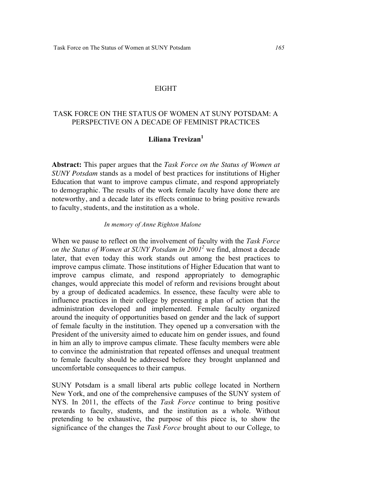## EIGHT

## TASK FORCE ON THE STATUS OF WOMEN AT SUNY POTSDAM: A PERSPECTIVE ON A DECADE OF FEMINIST PRACTICES

# **Liliana Trevizan1**

**Abstract:** This paper argues that the *Task Force on the Status of Women at SUNY Potsdam* stands as a model of best practices for institutions of Higher Education that want to improve campus climate, and respond appropriately to demographic. The results of the work female faculty have done there are noteworthy, and a decade later its effects continue to bring positive rewards to faculty, students, and the institution as a whole.

#### *In memory of Anne Righton Malone*

When we pause to reflect on the involvement of faculty with the *Task Force on the Status of Women at SUNY Potsdam in 20012* we find, almost a decade later, that even today this work stands out among the best practices to improve campus climate. Those institutions of Higher Education that want to improve campus climate, and respond appropriately to demographic changes, would appreciate this model of reform and revisions brought about by a group of dedicated academics. In essence, these faculty were able to influence practices in their college by presenting a plan of action that the administration developed and implemented. Female faculty organized around the inequity of opportunities based on gender and the lack of support of female faculty in the institution. They opened up a conversation with the President of the university aimed to educate him on gender issues, and found in him an ally to improve campus climate. These faculty members were able to convince the administration that repeated offenses and unequal treatment to female faculty should be addressed before they brought unplanned and uncomfortable consequences to their campus.

SUNY Potsdam is a small liberal arts public college located in Northern New York, and one of the comprehensive campuses of the SUNY system of NYS. In 2011, the effects of the *Task Force* continue to bring positive rewards to faculty, students, and the institution as a whole. Without pretending to be exhaustive, the purpose of this piece is, to show the significance of the changes the *Task Force* brought about to our College, to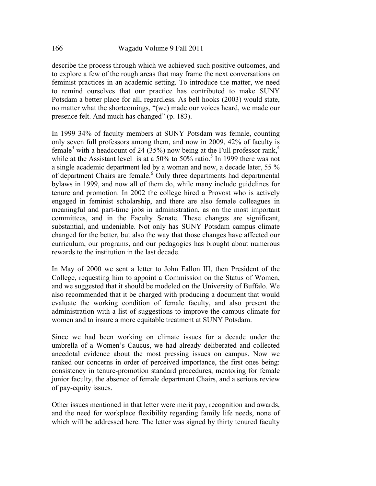describe the process through which we achieved such positive outcomes, and to explore a few of the rough areas that may frame the next conversations on feminist practices in an academic setting. To introduce the matter, we need to remind ourselves that our practice has contributed to make SUNY Potsdam a better place for all, regardless. As bell hooks (2003) would state, no matter what the shortcomings, "(we) made our voices heard, we made our presence felt. And much has changed" (p. 183).

In 1999 34% of faculty members at SUNY Potsdam was female, counting only seven full professors among them, and now in 2009, 42% of faculty is female<sup>3</sup> with a headcount of 24 (35%) now being at the Full professor rank,<sup>4</sup> while at the Assistant level is at a  $50\%$  to  $50\%$  ratio.<sup>5</sup> In 1999 there was not a single academic department led by a woman and now, a decade later, 55 % of department Chairs are female.<sup>6</sup> Only three departments had departmental bylaws in 1999, and now all of them do, while many include guidelines for tenure and promotion. In 2002 the college hired a Provost who is actively engaged in feminist scholarship, and there are also female colleagues in meaningful and part-time jobs in administration, as on the most important committees, and in the Faculty Senate. These changes are significant, substantial, and undeniable. Not only has SUNY Potsdam campus climate changed for the better, but also the way that those changes have affected our curriculum, our programs, and our pedagogies has brought about numerous rewards to the institution in the last decade.

In May of 2000 we sent a letter to John Fallon III, then President of the College, requesting him to appoint a Commission on the Status of Women, and we suggested that it should be modeled on the University of Buffalo. We also recommended that it be charged with producing a document that would evaluate the working condition of female faculty, and also present the administration with a list of suggestions to improve the campus climate for women and to insure a more equitable treatment at SUNY Potsdam.

Since we had been working on climate issues for a decade under the umbrella of a Women's Caucus, we had already deliberated and collected anecdotal evidence about the most pressing issues on campus. Now we ranked our concerns in order of perceived importance, the first ones being: consistency in tenure-promotion standard procedures, mentoring for female junior faculty, the absence of female department Chairs, and a serious review of pay-equity issues.

Other issues mentioned in that letter were merit pay, recognition and awards, and the need for workplace flexibility regarding family life needs, none of which will be addressed here. The letter was signed by thirty tenured faculty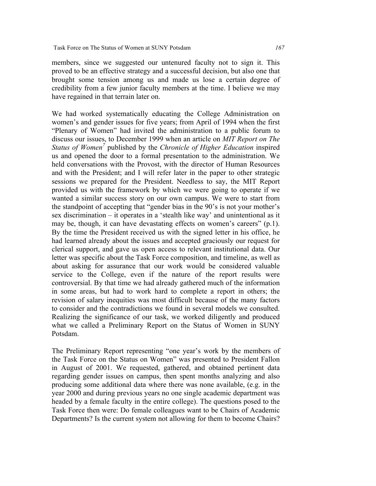members, since we suggested our untenured faculty not to sign it. This proved to be an effective strategy and a successful decision, but also one that brought some tension among us and made us lose a certain degree of credibility from a few junior faculty members at the time. I believe we may have regained in that terrain later on.

We had worked systematically educating the College Administration on women's and gender issues for five years; from April of 1994 when the first "Plenary of Women" had invited the administration to a public forum to discuss our issues, to December 1999 when an article on *MIT Report on The Status of Women<sup>7</sup>* published by the *Chronicle of Higher Education* inspired us and opened the door to a formal presentation to the administration. We held conversations with the Provost, with the director of Human Resources and with the President; and I will refer later in the paper to other strategic sessions we prepared for the President. Needless to say, the MIT Report provided us with the framework by which we were going to operate if we wanted a similar success story on our own campus. We were to start from the standpoint of accepting that "gender bias in the 90's is not your mother's sex discrimination – it operates in a 'stealth like way' and unintentional as it may be, though, it can have devastating effects on women's careers" (p.1). By the time the President received us with the signed letter in his office, he had learned already about the issues and accepted graciously our request for clerical support, and gave us open access to relevant institutional data. Our letter was specific about the Task Force composition, and timeline, as well as about asking for assurance that our work would be considered valuable service to the College, even if the nature of the report results were controversial. By that time we had already gathered much of the information in some areas, but had to work hard to complete a report in others; the revision of salary inequities was most difficult because of the many factors to consider and the contradictions we found in several models we consulted. Realizing the significance of our task, we worked diligently and produced what we called a Preliminary Report on the Status of Women in SUNY Potsdam.

The Preliminary Report representing "one year's work by the members of the Task Force on the Status on Women" was presented to President Fallon in August of 2001. We requested, gathered, and obtained pertinent data regarding gender issues on campus, then spent months analyzing and also producing some additional data where there was none available, (e.g. in the year 2000 and during previous years no one single academic department was headed by a female faculty in the entire college). The questions posed to the Task Force then were: Do female colleagues want to be Chairs of Academic Departments? Is the current system not allowing for them to become Chairs?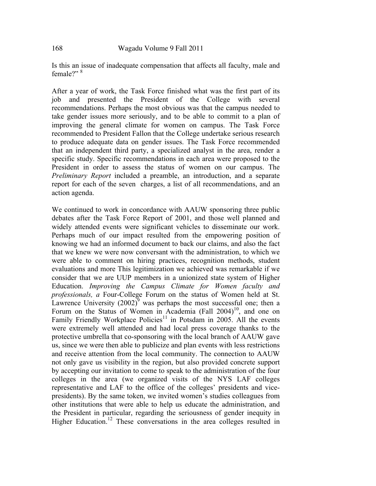Is this an issue of inadequate compensation that affects all faculty, male and female?" <sup>8</sup>

After a year of work, the Task Force finished what was the first part of its job and presented the President of the College with several recommendations. Perhaps the most obvious was that the campus needed to take gender issues more seriously, and to be able to commit to a plan of improving the general climate for women on campus. The Task Force recommended to President Fallon that the College undertake serious research to produce adequate data on gender issues. The Task Force recommended that an independent third party, a specialized analyst in the area, render a specific study. Specific recommendations in each area were proposed to the President in order to assess the status of women on our campus. The *Preliminary Report* included a preamble, an introduction, and a separate report for each of the seven charges, a list of all recommendations, and an action agenda.

We continued to work in concordance with AAUW sponsoring three public debates after the Task Force Report of 2001, and those well planned and widely attended events were significant vehicles to disseminate our work. Perhaps much of our impact resulted from the empowering position of knowing we had an informed document to back our claims, and also the fact that we knew we were now conversant with the administration, to which we were able to comment on hiring practices, recognition methods, student evaluations and more This legitimization we achieved was remarkable if we consider that we are UUP members in a unionized state system of Higher Education. *Improving the Campus Climate for Women faculty and professionals, a* Four-College Forum on the status of Women held at St. Lawrence University  $(2002)^9$  was perhaps the most successful one; then a Forum on the Status of Women in Academia (Fall  $2004$ )<sup>10</sup>, and one on Family Friendly Workplace Policies<sup>11</sup> in Potsdam in 2005. All the events were extremely well attended and had local press coverage thanks to the protective umbrella that co-sponsoring with the local branch of AAUW gave us, since we were then able to publicize and plan events with less restrictions and receive attention from the local community. The connection to AAUW not only gave us visibility in the region, but also provided concrete support by accepting our invitation to come to speak to the administration of the four colleges in the area (we organized visits of the NYS LAF colleges representative and LAF to the office of the colleges' presidents and vicepresidents). By the same token, we invited women's studies colleagues from other institutions that were able to help us educate the administration, and the President in particular, regarding the seriousness of gender inequity in Higher Education.<sup>12</sup> These conversations in the area colleges resulted in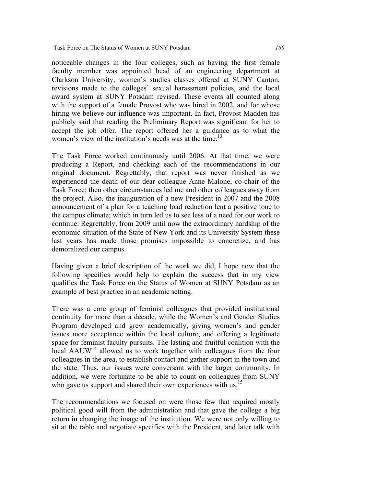noticeable changes in the four colleges, such as having the first female faculty member was appointed head of an engineering department at Clarkson University, women's studies classes offered at SUNY Canton, revisions made to the colleges' sexual harassment policies, and the local award system at SUNY Potsdam revised. These events all counted along with the support of a female Provost who was hired in 2002, and for whose hiring we believe our influence was important. In fact, Provost Madden has publicly said that reading the Preliminary Report was significant for her to accept the job offer. The report offered her a guidance as to what the women's view of the institution's needs was at the time.<sup>13</sup>

The Task Force worked continuously until 2006. At that time, we were producing a Report, and checking each of the recommendations in our original document. Regrettably, that report was never finished as we experienced the death of our dear colleague Anne Malone, co-chair of the Task Force; then other circumstances led me and other colleagues away from the project. Also, the inauguration of a new President in 2007 and the 2008 announcement of a plan for a teaching load reduction lent a positive tone to the campus climate; which in turn led us to see less of a need for our work to continue. Regrettably, from 2009 until now the extraordinary hardship of the economic situation of the State of New York and its University System these last years has made those promises impossible to concretize, and has demoralized our campus.

Having given a brief description of the work we did, I hope now that the following specifics would help to explain the success that in my view qualifies the Task Force on the Status of Women at SUNY Potsdam as an example of best practice in an academic setting.

There was a core group of feminist colleagues that provided institutional continuity for more than a decade, while the Women's and Gender Studies Program developed and grew academically, giving women's and gender issues more acceptance within the local culture, and offering a legitimate space for feminist faculty pursuits. The lasting and fruitful coalition with the local  $AAUW^{14}$  allowed us to work together with colleagues from the four colleagues in the area, to establish contact and gather support in the town and the state. Thus, our issues were conversant with the larger community. In addition, we were fortunate to be able to count on colleagues from SUNY who gave us support and shared their own experiences with us.<sup>15</sup>

The recommendations we focused on were those few that required mostly political good will from the administration and that gave the college a big return in changing the image of the institution. We were not only willing to sit at the table and negotiate specifics with the President, and later talk with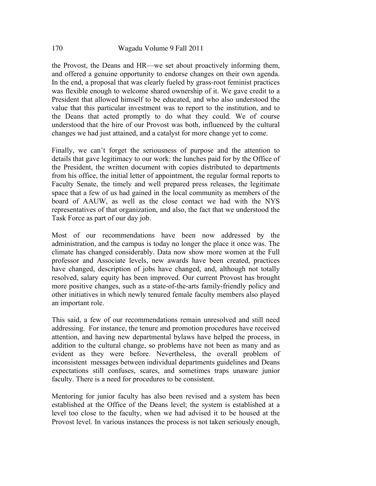the Provost, the Deans and HR—we set about proactively informing them, and offered a genuine opportunity to endorse changes on their own agenda. In the end, a proposal that was clearly fueled by grass-root feminist practices was flexible enough to welcome shared ownership of it. We gave credit to a President that allowed himself to be educated, and who also understood the value that this particular investment was to report to the institution, and to the Deans that acted promptly to do what they could. We of course understood that the hire of our Provost was both, influenced by the cultural changes we had just attained, and a catalyst for more change yet to come.

Finally, we can't forget the seriousness of purpose and the attention to details that gave legitimacy to our work: the lunches paid for by the Office of the President, the written document with copies distributed to departments from his office, the initial letter of appointment, the regular formal reports to Faculty Senate, the timely and well prepared press releases, the legitimate space that a few of us had gained in the local community as members of the board of AAUW, as well as the close contact we had with the NYS representatives of that organization, and also, the fact that we understood the Task Force as part of our day job.

Most of our recommendations have been now addressed by the administration, and the campus is today no longer the place it once was. The climate has changed considerably. Data now show more women at the Full professor and Associate levels, new awards have been created, practices have changed, description of jobs have changed, and, although not totally resolved, salary equity has been improved. Our current Provost has brought more positive changes, such as a state-of-the-arts family-friendly policy and other initiatives in which newly tenured female faculty members also played an important role.

This said, a few of our recommendations remain unresolved and still need addressing. For instance, the tenure and promotion procedures have received attention, and having new departmental bylaws have helped the process, in addition to the cultural change, so problems have not been as many and as evident as they were before. Nevertheless, the overall problem of inconsistent messages between individual departments guidelines and Deans expectations still confuses, scares, and sometimes traps unaware junior faculty. There is a need for procedures to be consistent.

Mentoring for junior faculty has also been revised and a system has been established at the Office of the Deans level; the system is established at a level too close to the faculty, when we had advised it to be housed at the Provost level. In various instances the process is not taken seriously enough,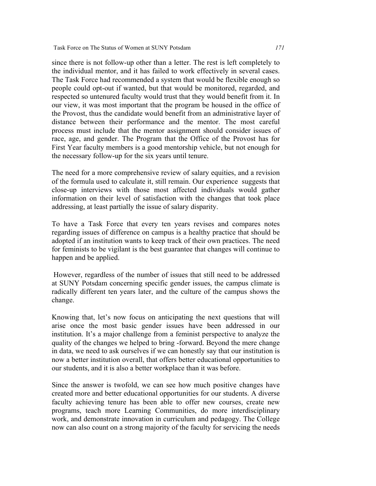Task Force on The Status of Women at SUNY Potsdam *171*

since there is not follow-up other than a letter. The rest is left completely to the individual mentor, and it has failed to work effectively in several cases. The Task Force had recommended a system that would be flexible enough so people could opt-out if wanted, but that would be monitored, regarded, and respected so untenured faculty would trust that they would benefit from it. In our view, it was most important that the program be housed in the office of the Provost, thus the candidate would benefit from an administrative layer of distance between their performance and the mentor. The most careful process must include that the mentor assignment should consider issues of race, age, and gender. The Program that the Office of the Provost has for First Year faculty members is a good mentorship vehicle, but not enough for the necessary follow-up for the six years until tenure.

The need for a more comprehensive review of salary equities, and a revision of the formula used to calculate it, still remain. Our experience suggests that close-up interviews with those most affected individuals would gather information on their level of satisfaction with the changes that took place addressing, at least partially the issue of salary disparity.

To have a Task Force that every ten years revises and compares notes regarding issues of difference on campus is a healthy practice that should be adopted if an institution wants to keep track of their own practices. The need for feminists to be vigilant is the best guarantee that changes will continue to happen and be applied.

However, regardless of the number of issues that still need to be addressed at SUNY Potsdam concerning specific gender issues, the campus climate is radically different ten years later, and the culture of the campus shows the change.

Knowing that, let's now focus on anticipating the next questions that will arise once the most basic gender issues have been addressed in our institution. It's a major challenge from a feminist perspective to analyze the quality of the changes we helped to bring -forward. Beyond the mere change in data, we need to ask ourselves if we can honestly say that our institution is now a better institution overall, that offers better educational opportunities to our students, and it is also a better workplace than it was before.

Since the answer is twofold, we can see how much positive changes have created more and better educational opportunities for our students. A diverse faculty achieving tenure has been able to offer new courses, create new programs, teach more Learning Communities, do more interdisciplinary work, and demonstrate innovation in curriculum and pedagogy. The College now can also count on a strong majority of the faculty for servicing the needs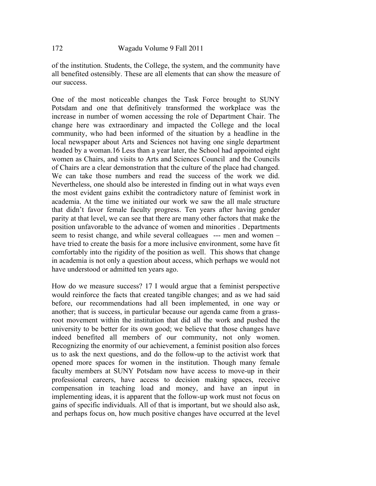of the institution. Students, the College, the system, and the community have all benefited ostensibly. These are all elements that can show the measure of our success.

One of the most noticeable changes the Task Force brought to SUNY Potsdam and one that definitively transformed the workplace was the increase in number of women accessing the role of Department Chair. The change here was extraordinary and impacted the College and the local community, who had been informed of the situation by a headline in the local newspaper about Arts and Sciences not having one single department headed by a woman.16 Less than a year later, the School had appointed eight women as Chairs, and visits to Arts and Sciences Council and the Councils of Chairs are a clear demonstration that the culture of the place had changed. We can take those numbers and read the success of the work we did. Nevertheless, one should also be interested in finding out in what ways even the most evident gains exhibit the contradictory nature of feminist work in academia. At the time we initiated our work we saw the all male structure that didn't favor female faculty progress. Ten years after having gender parity at that level, we can see that there are many other factors that make the position unfavorable to the advance of women and minorities . Departments seem to resist change, and while several colleagues --- men and women – have tried to create the basis for a more inclusive environment, some have fit comfortably into the rigidity of the position as well. This shows that change in academia is not only a question about access, which perhaps we would not have understood or admitted ten years ago.

How do we measure success? 17 I would argue that a feminist perspective would reinforce the facts that created tangible changes; and as we had said before, our recommendations had all been implemented, in one way or another; that is success, in particular because our agenda came from a grassroot movement within the institution that did all the work and pushed the university to be better for its own good; we believe that those changes have indeed benefited all members of our community, not only women. Recognizing the enormity of our achievement, a feminist position also forces us to ask the next questions, and do the follow-up to the activist work that opened more spaces for women in the institution. Though many female faculty members at SUNY Potsdam now have access to move-up in their professional careers, have access to decision making spaces, receive compensation in teaching load and money, and have an input in implementing ideas, it is apparent that the follow-up work must not focus on gains of specific individuals. All of that is important, but we should also ask, and perhaps focus on, how much positive changes have occurred at the level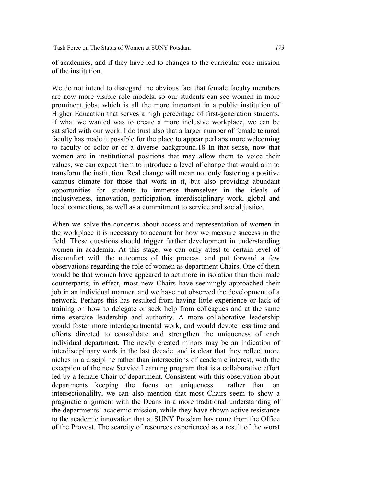of academics, and if they have led to changes to the curricular core mission of the institution.

We do not intend to disregard the obvious fact that female faculty members are now more visible role models, so our students can see women in more prominent jobs, which is all the more important in a public institution of Higher Education that serves a high percentage of first-generation students. If what we wanted was to create a more inclusive workplace, we can be satisfied with our work. I do trust also that a larger number of female tenured faculty has made it possible for the place to appear perhaps more welcoming to faculty of color or of a diverse background.18 In that sense, now that women are in institutional positions that may allow them to voice their values, we can expect them to introduce a level of change that would aim to transform the institution. Real change will mean not only fostering a positive campus climate for those that work in it, but also providing abundant opportunities for students to immerse themselves in the ideals of inclusiveness, innovation, participation, interdisciplinary work, global and local connections, as well as a commitment to service and social justice.

When we solve the concerns about access and representation of women in the workplace it is necessary to account for how we measure success in the field. These questions should trigger further development in understanding women in academia. At this stage, we can only attest to certain level of discomfort with the outcomes of this process, and put forward a few observations regarding the role of women as department Chairs. One of them would be that women have appeared to act more in isolation than their male counterparts; in effect, most new Chairs have seemingly approached their job in an individual manner, and we have not observed the development of a network. Perhaps this has resulted from having little experience or lack of training on how to delegate or seek help from colleagues and at the same time exercise leadership and authority. A more collaborative leadership would foster more interdepartmental work, and would devote less time and efforts directed to consolidate and strengthen the uniqueness of each individual department. The newly created minors may be an indication of interdisciplinary work in the last decade, and is clear that they reflect more niches in a discipline rather than intersections of academic interest, with the exception of the new Service Learning program that is a collaborative effort led by a female Chair of department. Consistent with this observation about departments keeping the focus on uniqueness rather than on intersectionalilty, we can also mention that most Chairs seem to show a pragmatic alignment with the Deans in a more traditional understanding of the departments' academic mission, while they have shown active resistance to the academic innovation that at SUNY Potsdam has come from the Office of the Provost. The scarcity of resources experienced as a result of the worst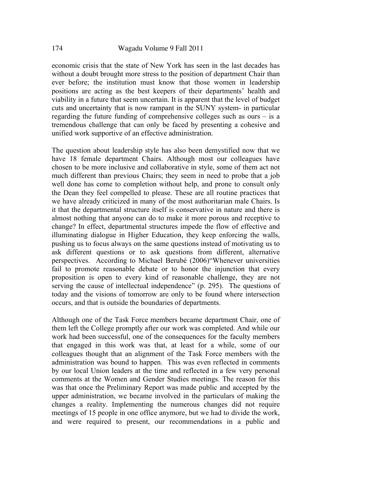economic crisis that the state of New York has seen in the last decades has without a doubt brought more stress to the position of department Chair than ever before; the institution must know that those women in leadership positions are acting as the best keepers of their departments' health and viability in a future that seem uncertain. It is apparent that the level of budget cuts and uncertainty that is now rampant in the SUNY system- in particular regarding the future funding of comprehensive colleges such as ours  $-$  is a tremendous challenge that can only be faced by presenting a cohesive and unified work supportive of an effective administration.

The question about leadership style has also been demystified now that we have 18 female department Chairs. Although most our colleagues have chosen to be more inclusive and collaborative in style, some of them act not much different than previous Chairs; they seem in need to probe that a job well done has come to completion without help, and prone to consult only the Dean they feel compelled to please. These are all routine practices that we have already criticized in many of the most authoritarian male Chairs. Is it that the departmental structure itself is conservative in nature and there is almost nothing that anyone can do to make it more porous and receptive to change? In effect, departmental structures impede the flow of effective and illuminating dialogue in Higher Education, they keep enforcing the walls, pushing us to focus always on the same questions instead of motivating us to ask different questions or to ask questions from different, alternative perspectives. According to Michael Berubé (2006)"Whenever universities fail to promote reasonable debate or to honor the injunction that every proposition is open to every kind of reasonable challenge, they are not serving the cause of intellectual independence" (p. 295). The questions of today and the visions of tomorrow are only to be found where intersection occurs, and that is outside the boundaries of departments.

Although one of the Task Force members became department Chair, one of them left the College promptly after our work was completed. And while our work had been successful, one of the consequences for the faculty members that engaged in this work was that, at least for a while, some of our colleagues thought that an alignment of the Task Force members with the administration was bound to happen. This was even reflected in comments by our local Union leaders at the time and reflected in a few very personal comments at the Women and Gender Studies meetings. The reason for this was that once the Preliminary Report was made public and accepted by the upper administration, we became involved in the particulars of making the changes a reality. Implementing the numerous changes did not require meetings of 15 people in one office anymore, but we had to divide the work, and were required to present, our recommendations in a public and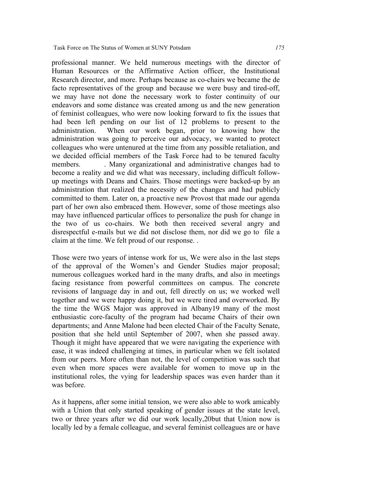professional manner. We held numerous meetings with the director of Human Resources or the Affirmative Action officer, the Institutional Research director, and more. Perhaps because as co-chairs we became the de facto representatives of the group and because we were busy and tired-off, we may have not done the necessary work to foster continuity of our endeavors and some distance was created among us and the new generation of feminist colleagues, who were now looking forward to fix the issues that had been left pending on our list of 12 problems to present to the administration. When our work began, prior to knowing how the administration was going to perceive our advocacy, we wanted to protect colleagues who were untenured at the time from any possible retaliation, and we decided official members of the Task Force had to be tenured faculty members. Many organizational and administrative changes had to become a reality and we did what was necessary, including difficult followup meetings with Deans and Chairs. Those meetings were backed-up by an administration that realized the necessity of the changes and had publicly committed to them. Later on, a proactive new Provost that made our agenda part of her own also embraced them. However, some of those meetings also may have influenced particular offices to personalize the push for change in the two of us co-chairs. We both then received several angry and disrespectful e-mails but we did not disclose them, nor did we go to file a claim at the time. We felt proud of our response. .

Those were two years of intense work for us, We were also in the last steps of the approval of the Women's and Gender Studies major proposal; numerous colleagues worked hard in the many drafts, and also in meetings facing resistance from powerful committees on campus. The concrete revisions of language day in and out, fell directly on us; we worked well together and we were happy doing it, but we were tired and overworked. By the time the WGS Major was approved in Albany19 many of the most enthusiastic core-faculty of the program had became Chairs of their own departments; and Anne Malone had been elected Chair of the Faculty Senate, position that she held until September of 2007, when she passed away. Though it might have appeared that we were navigating the experience with ease, it was indeed challenging at times, in particular when we felt isolated from our peers. More often than not, the level of competition was such that even when more spaces were available for women to move up in the institutional roles, the vying for leadership spaces was even harder than it was before.

As it happens, after some initial tension, we were also able to work amicably with a Union that only started speaking of gender issues at the state level, two or three years after we did our work locally,20but that Union now is locally led by a female colleague, and several feminist colleagues are or have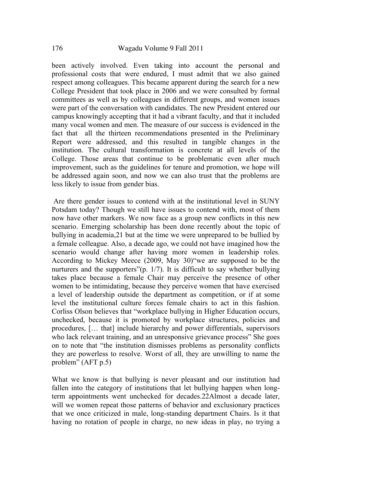been actively involved. Even taking into account the personal and professional costs that were endured, I must admit that we also gained respect among colleagues. This became apparent during the search for a new College President that took place in 2006 and we were consulted by formal committees as well as by colleagues in different groups, and women issues were part of the conversation with candidates. The new President entered our campus knowingly accepting that it had a vibrant faculty, and that it included many vocal women and men. The measure of our success is evidenced in the fact that all the thirteen recommendations presented in the Preliminary Report were addressed, and this resulted in tangible changes in the institution. The cultural transformation is concrete at all levels of the College. Those areas that continue to be problematic even after much improvement, such as the guidelines for tenure and promotion, we hope will be addressed again soon, and now we can also trust that the problems are less likely to issue from gender bias.

Are there gender issues to contend with at the institutional level in SUNY Potsdam today? Though we still have issues to contend with, most of them now have other markers. We now face as a group new conflicts in this new scenario. Emerging scholarship has been done recently about the topic of bullying in academia,21 but at the time we were unprepared to be bullied by a female colleague. Also, a decade ago, we could not have imagined how the scenario would change after having more women in leadership roles. According to Mickey Meece (2009, May 30)"we are supposed to be the nurturers and the supporters"(p. 1/7). It is difficult to say whether bullying takes place because a female Chair may perceive the presence of other women to be intimidating, because they perceive women that have exercised a level of leadership outside the department as competition, or if at some level the institutional culture forces female chairs to act in this fashion. Corliss Olson believes that "workplace bullying in Higher Education occurs, unchecked, because it is promoted by workplace structures, policies and procedures, [… that] include hierarchy and power differentials, supervisors who lack relevant training, and an unresponsive grievance process" She goes on to note that "the institution dismisses problems as personality conflicts they are powerless to resolve. Worst of all, they are unwilling to name the problem" (AFT p.5)

What we know is that bullying is never pleasant and our institution had fallen into the category of institutions that let bullying happen when longterm appointments went unchecked for decades.22Almost a decade later, will we women repeat those patterns of behavior and exclusionary practices that we once criticized in male, long-standing department Chairs. Is it that having no rotation of people in charge, no new ideas in play, no trying a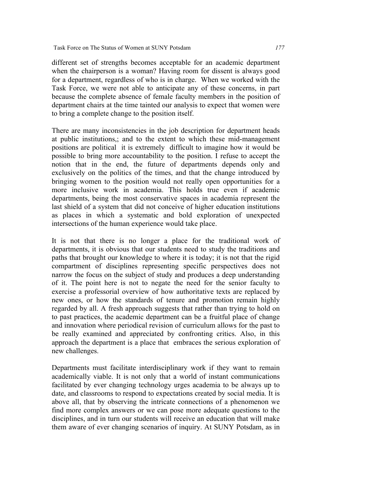different set of strengths becomes acceptable for an academic department when the chairperson is a woman? Having room for dissent is always good for a department, regardless of who is in charge. When we worked with the Task Force, we were not able to anticipate any of these concerns, in part because the complete absence of female faculty members in the position of department chairs at the time tainted our analysis to expect that women were to bring a complete change to the position itself.

There are many inconsistencies in the job description for department heads at public institutions,; and to the extent to which these mid-management positions are political it is extremely difficult to imagine how it would be possible to bring more accountability to the position. I refuse to accept the notion that in the end, the future of departments depends only and exclusively on the politics of the times, and that the change introduced by bringing women to the position would not really open opportunities for a more inclusive work in academia. This holds true even if academic departments, being the most conservative spaces in academia represent the last shield of a system that did not conceive of higher education institutions as places in which a systematic and bold exploration of unexpected intersections of the human experience would take place.

It is not that there is no longer a place for the traditional work of departments, it is obvious that our students need to study the traditions and paths that brought our knowledge to where it is today; it is not that the rigid compartment of disciplines representing specific perspectives does not narrow the focus on the subject of study and produces a deep understanding of it. The point here is not to negate the need for the senior faculty to exercise a professorial overview of how authoritative texts are replaced by new ones, or how the standards of tenure and promotion remain highly regarded by all. A fresh approach suggests that rather than trying to hold on to past practices, the academic department can be a fruitful place of change and innovation where periodical revision of curriculum allows for the past to be really examined and appreciated by confronting critics. Also, in this approach the department is a place that embraces the serious exploration of new challenges.

Departments must facilitate interdisciplinary work if they want to remain academically viable. It is not only that a world of instant communications facilitated by ever changing technology urges academia to be always up to date, and classrooms to respond to expectations created by social media. It is above all, that by observing the intricate connections of a phenomenon we find more complex answers or we can pose more adequate questions to the disciplines, and in turn our students will receive an education that will make them aware of ever changing scenarios of inquiry. At SUNY Potsdam, as in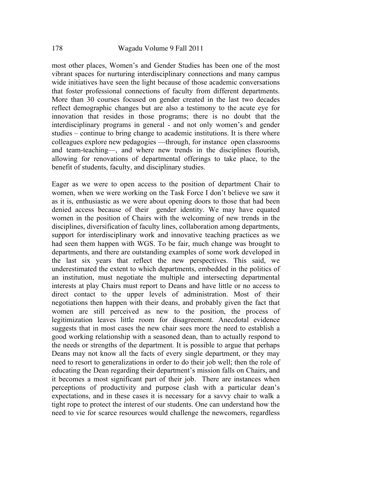most other places, Women's and Gender Studies has been one of the most vibrant spaces for nurturing interdisciplinary connections and many campus wide initiatives have seen the light because of those academic conversations that foster professional connections of faculty from different departments. More than 30 courses focused on gender created in the last two decades reflect demographic changes but are also a testimony to the acute eye for innovation that resides in those programs; there is no doubt that the interdisciplinary programs in general - and not only women's and gender studies – continue to bring change to academic institutions. It is there where colleagues explore new pedagogies —through, for instance open classrooms and team-teaching—, and where new trends in the disciplines flourish, allowing for renovations of departmental offerings to take place, to the benefit of students, faculty, and disciplinary studies.

Eager as we were to open access to the position of department Chair to women, when we were working on the Task Force I don't believe we saw it as it is, enthusiastic as we were about opening doors to those that had been denied access because of their gender identity. We may have equated women in the position of Chairs with the welcoming of new trends in the disciplines, diversification of faculty lines, collaboration among departments, support for interdisciplinary work and innovative teaching practices as we had seen them happen with WGS. To be fair, much change was brought to departments, and there are outstanding examples of some work developed in the last six years that reflect the new perspectives. This said, we underestimated the extent to which departments, embedded in the politics of an institution, must negotiate the multiple and intersecting departmental interests at play Chairs must report to Deans and have little or no access to direct contact to the upper levels of administration. Most of their negotiations then happen with their deans, and probably given the fact that women are still perceived as new to the position, the process of legitimization leaves little room for disagreement. Anecdotal evidence suggests that in most cases the new chair sees more the need to establish a good working relationship with a seasoned dean, than to actually respond to the needs or strengths of the department. It is possible to argue that perhaps Deans may not know all the facts of every single department, or they may need to resort to generalizations in order to do their job well; then the role of educating the Dean regarding their department's mission falls on Chairs, and it becomes a most significant part of their job. There are instances when perceptions of productivity and purpose clash with a particular dean's expectations, and in these cases it is necessary for a savvy chair to walk a tight rope to protect the interest of our students. One can understand how the need to vie for scarce resources would challenge the newcomers, regardless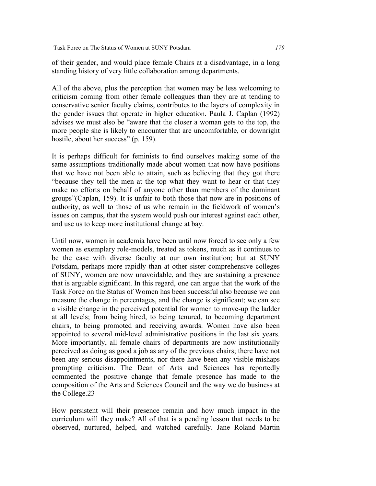Task Force on The Status of Women at SUNY Potsdam *179*

of their gender, and would place female Chairs at a disadvantage, in a long standing history of very little collaboration among departments.

All of the above, plus the perception that women may be less welcoming to criticism coming from other female colleagues than they are at tending to conservative senior faculty claims, contributes to the layers of complexity in the gender issues that operate in higher education. Paula J. Caplan (1992) advises we must also be "aware that the closer a woman gets to the top, the more people she is likely to encounter that are uncomfortable, or downright hostile, about her success" (p. 159).

It is perhaps difficult for feminists to find ourselves making some of the same assumptions traditionally made about women that now have positions that we have not been able to attain, such as believing that they got there "because they tell the men at the top what they want to hear or that they make no efforts on behalf of anyone other than members of the dominant groups"(Caplan, 159). It is unfair to both those that now are in positions of authority, as well to those of us who remain in the fieldwork of women's issues on campus, that the system would push our interest against each other, and use us to keep more institutional change at bay.

Until now, women in academia have been until now forced to see only a few women as exemplary role-models, treated as tokens, much as it continues to be the case with diverse faculty at our own institution; but at SUNY Potsdam, perhaps more rapidly than at other sister comprehensive colleges of SUNY, women are now unavoidable, and they are sustaining a presence that is arguable significant. In this regard, one can argue that the work of the Task Force on the Status of Women has been successful also because we can measure the change in percentages, and the change is significant; we can see a visible change in the perceived potential for women to move-up the ladder at all levels; from being hired, to being tenured, to becoming department chairs, to being promoted and receiving awards. Women have also been appointed to several mid-level administrative positions in the last six years. More importantly, all female chairs of departments are now institutionally perceived as doing as good a job as any of the previous chairs; there have not been any serious disappointments, nor there have been any visible mishaps prompting criticism. The Dean of Arts and Sciences has reportedly commented the positive change that female presence has made to the composition of the Arts and Sciences Council and the way we do business at the College.23

How persistent will their presence remain and how much impact in the curriculum will they make? All of that is a pending lesson that needs to be observed, nurtured, helped, and watched carefully. Jane Roland Martin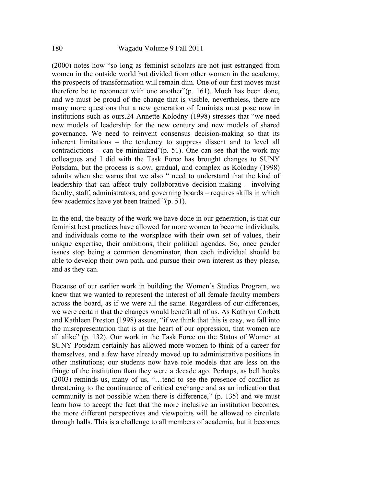(2000) notes how "so long as feminist scholars are not just estranged from women in the outside world but divided from other women in the academy, the prospects of transformation will remain dim. One of our first moves must therefore be to reconnect with one another"(p. 161). Much has been done, and we must be proud of the change that is visible, nevertheless, there are many more questions that a new generation of feminists must pose now in institutions such as ours.24 Annette Kolodny (1998) stresses that "we need new models of leadership for the new century and new models of shared governance. We need to reinvent consensus decision-making so that its inherent limitations – the tendency to suppress dissent and to level all contradictions – can be minimized" $(p. 51)$ . One can see that the work my colleagues and I did with the Task Force has brought changes to SUNY Potsdam, but the process is slow, gradual, and complex as Kolodny (1998) admits when she warns that we also " need to understand that the kind of leadership that can affect truly collaborative decision-making – involving faculty, staff, administrators, and governing boards – requires skills in which few academics have yet been trained "(p. 51).

In the end, the beauty of the work we have done in our generation, is that our feminist best practices have allowed for more women to become individuals, and individuals come to the workplace with their own set of values, their unique expertise, their ambitions, their political agendas. So, once gender issues stop being a common denominator, then each individual should be able to develop their own path, and pursue their own interest as they please, and as they can.

Because of our earlier work in building the Women's Studies Program, we knew that we wanted to represent the interest of all female faculty members across the board, as if we were all the same. Regardless of our differences, we were certain that the changes would benefit all of us. As Kathryn Corbett and Kathleen Preston (1998) assure, "if we think that this is easy, we fall into the misrepresentation that is at the heart of our oppression, that women are all alike" (p. 132). Our work in the Task Force on the Status of Women at SUNY Potsdam certainly has allowed more women to think of a career for themselves, and a few have already moved up to administrative positions in other institutions; our students now have role models that are less on the fringe of the institution than they were a decade ago. Perhaps, as bell hooks (2003) reminds us, many of us, "…tend to see the presence of conflict as threatening to the continuance of critical exchange and as an indication that community is not possible when there is difference," (p. 135) and we must learn how to accept the fact that the more inclusive an institution becomes, the more different perspectives and viewpoints will be allowed to circulate through halls. This is a challenge to all members of academia, but it becomes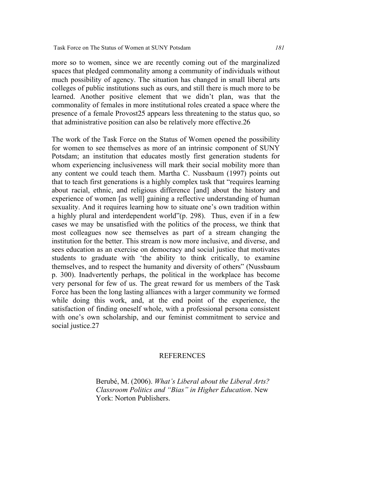more so to women, since we are recently coming out of the marginalized spaces that pledged commonality among a community of individuals without much possibility of agency. The situation has changed in small liberal arts colleges of public institutions such as ours, and still there is much more to be learned. Another positive element that we didn't plan, was that the commonality of females in more institutional roles created a space where the presence of a female Provost25 appears less threatening to the status quo, so that administrative position can also be relatively more effective.26

The work of the Task Force on the Status of Women opened the possibility for women to see themselves as more of an intrinsic component of SUNY Potsdam; an institution that educates mostly first generation students for whom experiencing inclusiveness will mark their social mobility more than any content we could teach them. Martha C. Nussbaum (1997) points out that to teach first generations is a highly complex task that "requires learning about racial, ethnic, and religious difference [and] about the history and experience of women [as well] gaining a reflective understanding of human sexuality. And it requires learning how to situate one's own tradition within a highly plural and interdependent world"(p. 298). Thus, even if in a few cases we may be unsatisfied with the politics of the process, we think that most colleagues now see themselves as part of a stream changing the institution for the better. This stream is now more inclusive, and diverse, and sees education as an exercise on democracy and social justice that motivates students to graduate with 'the ability to think critically, to examine themselves, and to respect the humanity and diversity of others" (Nussbaum p. 300). Inadvertently perhaps, the political in the workplace has become very personal for few of us. The great reward for us members of the Task Force has been the long lasting alliances with a larger community we formed while doing this work, and, at the end point of the experience, the satisfaction of finding oneself whole, with a professional persona consistent with one's own scholarship, and our feminist commitment to service and social justice.27

## REFERENCES

Berubé, M. (2006). *What's Liberal about the Liberal Arts? Classroom Politics and "Bias" in Higher Education*. New York: Norton Publishers.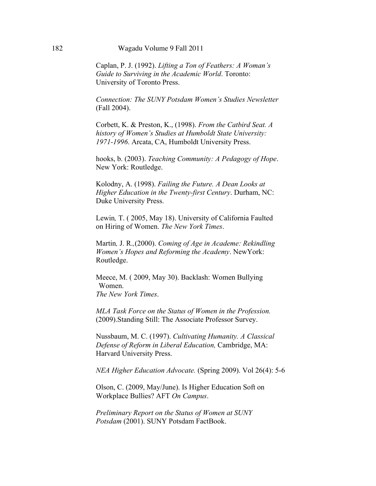Caplan, P. J. (1992). *Lifting a Ton of Feathers: A Woman's Guide to Surviving in the Academic World*. Toronto: University of Toronto Press.

*Connection: The SUNY Potsdam Women's Studies Newsletter* (Fall 2004).

Corbett, K. & Preston, K., (1998). *From the Catbird Seat. A history of Women's Studies at Humboldt State University: 1971-1996*. Arcata, CA, Humboldt University Press.

hooks, b. (2003). *Teaching Community: A Pedagogy of Hope*. New York: Routledge.

Kolodny, A. (1998). *Failing the Future. A Dean Looks at Higher Education in the Twenty-first Century*. Durham, NC: Duke University Press.

Lewin*,* T. ( 2005, May 18). University of California Faulted on Hiring of Women. *The New York Times*.

Martin*,* J. R.*,*(2000). *Coming of Age in Academe: Rekindling Women's Hopes and Reforming the Academy*. NewYork: Routledge.

Meece, M. ( 2009, May 30). Backlash: Women Bullying Women. *The New York Times*.

*MLA Task Force on the Status of Women in the Profession.* (2009).Standing Still: The Associate Professor Survey.

Nussbaum, M. C. (1997). *Cultivating Humanity. A Classical Defense of Reform in Liberal Education,* Cambridge, MA: Harvard University Press.

*NEA Higher Education Advocate.* (Spring 2009). Vol 26(4): 5-6

Olson, C. (2009, May/June). Is Higher Education Soft on Workplace Bullies? AFT *On Campus*.

*Preliminary Report on the Status of Women at SUNY Potsdam* (2001). SUNY Potsdam FactBook.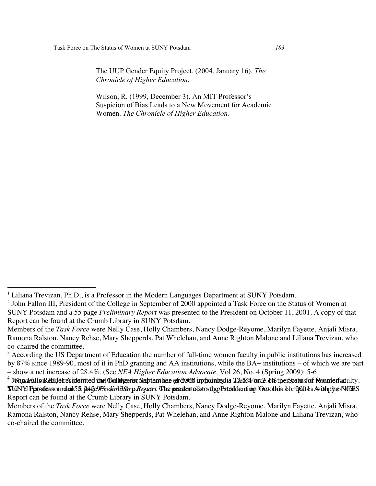The UUP Gender Equity Project. (2004, January 16). *The Chronicle of Higher Education.*

Wilson, R. (1999, December 3). An MIT Professor's Suspicion of Bias Leads to a New Movement for Academic Women. *The Chronicle of Higher Education.*

<sup>&</sup>lt;sup>1</sup> Liliana Trevizan, Ph.D., is a Professor in the Modern Languages Department at SUNY Potsdam.

<sup>&</sup>lt;sup>2</sup> John Fallon III, President of the College in September of 2000 appointed a Task Force on the Status of Women at SUNY Potsdam and a 55 page *Preliminary Report* was presented to the President on October 11, 2001. A copy of that Report can be found at the Crumb Library in SUNY Potsdam.

Members of the *Task Force* were Nelly Case, Holly Chambers, Nancy Dodge-Reyome, Marilyn Fayette, Anjali Misra, Ramona Ralston, Nancy Rehse, Mary Shepperds, Pat Whelehan, and Anne Righton Malone and Liliana Trevizan, who co-chaired the committee.

<sup>&</sup>lt;sup>3</sup> According the US Department of Education the number of full-time women faculty in public institutions has increased by 87% since 1989-90, most of it in PhD granting and AA institutions, while the BA+ institutions – of which we are part – show a net increase of 28.4%. (See *NEA Higher Education Advocate,* Vol 26, No. 4 (Spring 2009): 5-6

 $^{\text{\tiny 2}}$  WagaFallsrREEdAreSiplointtod thet Conlibreerin Srepthathhe ofra000 inpfanintsdia TAsK/Forc2.b%therStatusfof RMnanerfactulty.  ${\bf SubYM}$ Pptsdasnormank $5$ is pa $g$ e9P $\nu$ e $b$ i $m$ B $\ell\nu$ peReyrent. Whe preastentalstosth $gg$ Pstexikkarting hoxtothas b $b$ n2phPes AvithptyroNtGHS  $\,$ Report can be found at the Crumb Library in SUNY Potsdam.

Members of the *Task Force* were Nelly Case, Holly Chambers, Nancy Dodge-Reyome, Marilyn Fayette, Anjali Misra, Ramona Ralston, Nancy Rehse, Mary Shepperds, Pat Whelehan, and Anne Righton Malone and Liliana Trevizan, who co-chaired the committee.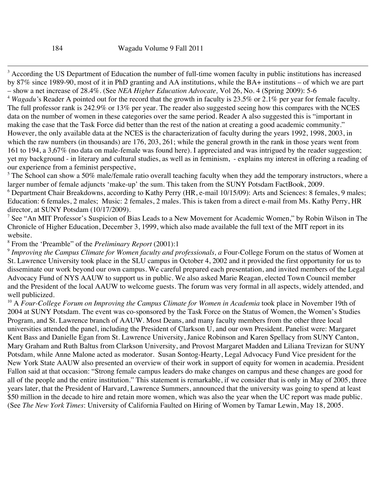<sup>3</sup> According the US Department of Education the number of full-time women faculty in public institutions has increased by 87% since 1989-90, most of it in PhD granting and AA institutions, while the BA+ institutions – of which we are part – show a net increase of 28.4%. (See *NEA Higher Education Advocate,* Vol 26, No. 4 (Spring 2009): 5-6

<sup>4</sup> *Wagadu'*s Reader A pointed out for the record that the growth in faculty is 23.5% or 2.1% per year for female faculty. The full professor rank is 242.9% or 13% per year. The reader also suggested seeing how this compares with the NCES data on the number of women in these categories over the same period. Reader A also suggested this is "important in making the case that the Task Force did better than the rest of the nation at creating a good academic community." However, the only available data at the NCES is the characterization of faculty during the years 1992, 1998, 2003, in which the raw numbers (in thousands) are 176, 203, 261; while the general growth in the rank in those years went from 161 to 194, a 3,67% (no data on male-female was found here). I appreciated and was intrigued by the reader suggestion; yet my background - in literary and cultural studies, as well as in feminism, - explains my interest in offering a reading of our experience from a feminist perspective,

 $5$  The School can show a 50% male/female ratio overall teaching faculty when they add the temporary instructors, where a larger number of female adjuncts 'make-up' the sum. This taken from the SUNY Potsdam FactBook, 2009.

 $6$  Department Chair Breakdowns, according to Kathy Perry (HR, e-mail  $10/15/09$ ): Arts and Sciences: 8 females, 9 males; Education: 6 females, 2 males; Music: 2 females, 2 males. This is taken from a direct e-mail from Ms. Kathy Perry, HR director, at SUNY Potsdam (10/17/2009).

<sup>7</sup> See "An MIT Professor's Suspicion of Bias Leads to a New Movement for Academic Women," by Robin Wilson in The Chronicle of Higher Education, December 3, 1999, which also made available the full text of the MIT report in its website.

# <sup>8</sup> From the 'Preamble" of the *Preliminary Report* (2001):1

<sup>9</sup> *Improving the Campus Climate for Women faculty and professionals, a* Four-College Forum on the status of Women at St. Lawrence University took place in the SLU campus in October 4, 2002 and it provided the first opportunity for us to disseminate our work beyond our own campus. We careful prepared each presentation, and invited members of the Legal Advocacy Fund of NYS AAUW to support us in public. We also asked Marie Reagan, elected Town Council member and the President of the local AAUW to welcome guests. The forum was very formal in all aspects, widely attended, and well publicized.

<sup>10</sup> A *Four-College Forum on Improving the Campus Climate for Women in Academia* took place in November 19th of 2004 at SUNY Potsdam. The event was co-sponsored by the Task Force on the Status of Women, the Women's Studies Program, and St. Lawrence branch of AAUW. Most Deans, and many faculty members from the other three local universities attended the panel, including the President of Clarkson U, and our own President. Panelist were: Margaret Kent Bass and Danielle Egan from St. Lawrence University, Janice Robinson and Karen Spellacy from SUNY Canton, Mary Graham and Ruth Baltus from Clarkson University, and Provost Margaret Madden and Liliana Trevizan for SUNY Potsdam, while Anne Malone acted as moderator. Susan Sontog-Hearty, Legal Advocacy Fund Vice president for the New York State AAUW also presented an overview of their work in support of equity for women in academia. President Fallon said at that occasion: "Strong female campus leaders do make changes on campus and these changes are good for all of the people and the entire institution." This statement is remarkable, if we consider that is only in May of 2005, three years later, that the President of Harvard, Lawrence Summers, announced that the university was going to spend at least \$50 million in the decade to hire and retain more women, which was also the year when the UC report was made public. (See *The New York Times*: University of California Faulted on Hiring of Women by Tamar Lewin, May 18, 2005.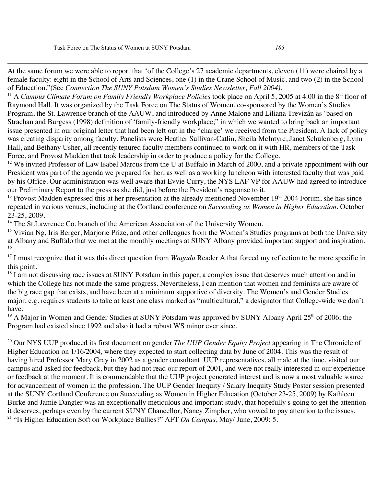<u>.</u>

At the same forum we were able to report that 'of the College's 27 academic departments, eleven (11) were chaired by a female faculty: eight in the School of Arts and Sciences, one (1) in the Crane School of Music, and two (2) in the School of Education."(See *Connection The SUNY Potsdam Women's Studies Newsletter, Fall 2004).*

<sup>11</sup> A *Campus Climate Forum on Family Friendly Workplace Policies* took place on April 5, 2005 at 4:00 in the  $8<sup>th</sup>$  floor of Raymond Hall. It was organized by the Task Force on The Status of Women, co-sponsored by the Women's Studies Program, the St. Lawrence branch of the AAUW, and introduced by Anne Malone and Liliana Trevizán as 'based on Strachan and Burgess (1998) definition of 'family-friendly workplace;" in which we wanted to bring back an important issue presented in our original letter that had been left out in the "charge' we received from the President. A lack of policy was creating disparity among faculty. Panelists were Heather Sullivan-Catlin, Sheila McIntyre, Janet Schulenberg, Lynn Hall, and Bethany Usher, all recently tenured faculty members continued to work on it with HR, members of the Task Force, and Provost Madden that took leadership in order to produce a policy for the College.

 $12$  We invited Professor of Law Isabel Marcus from the U at Buffalo in March of 2000, and a private appointment with our President was part of the agenda we prepared for her, as well as a working luncheon with interested faculty that was paid by his Office. Our administration was well aware that Evvie Curry, the NYS LAF VP for AAUW had agreed to introduce our Preliminary Report to the press as she did, just before the President's response to it.

 $13$  Provost Madden expressed this at her presentation at the already mentioned November  $19<sup>th</sup>$  2004 Forum, she has since repeated in various venues, including at the Cortland conference on *Succeeding as Women in Higher Education*, October 23-25, 2009.

<sup>14</sup> The St.Lawrence Co. branch of the American Association of the University Women.

 $15$  Vivian Ng, Iris Berger, Marjorie Prize, and other colleagues from the Women's Studies programs at both the University at Albany and Buffalo that we met at the monthly meetings at SUNY Albany provided important support and inspiration. 16

<sup>17</sup> I must recognize that it was this direct question from *Wagadu* Reader A that forced my reflection to be more specific in this point.

 $18$  I am not discussing race issues at SUNY Potsdam in this paper, a complex issue that deserves much attention and in which the College has not made the same progress. Nevertheless, I can mention that women and feminists are aware of the big race gap that exists, and have been at a minimum supportive of diversity. The Women's and Gender Studies major, e.g. requires students to take at least one class marked as "multicultural," a designator that College-wide we don't have.

<sup>19</sup> A Major in Women and Gender Studies at SUNY Potsdam was approved by SUNY Albany April 25<sup>th</sup> of 2006; the Program had existed since 1992 and also it had a robust WS minor ever since.

<sup>20</sup> Our NYS UUP produced its first document on gender *The UUP Gender Equity Project* appearing in The Chronicle of Higher Education on 1/16/2004, where they expected to start collecting data by June of 2004. This was the result of having hired Professor Mary Gray in 2002 as a gender consultant. UUP representatives, all male at the time, visited our campus and asked for feedback, but they had not read our report of 2001, and were not really interested in our experience or feedback at the moment. It is commendable that the UUP project generated interest and is now a most valuable source for advancement of women in the profession. The UUP Gender Inequity / Salary Inequity Study Poster session presented at the SUNY Cortland Conference on Succeeding as Women in Higher Education (October 23-25, 2009) by Kathleen Burke and Jamie Dangler was an exceptionally meticulous and important study, that hopefully s going to get the attention it deserves, perhaps even by the current SUNY Chancellor, Nancy Zimpher, who vowed to pay attention to the issues. <sup>21</sup> "Is Higher Education Soft on Workplace Bullies?" AFT *On Campus*, May/ June, 2009: 5.